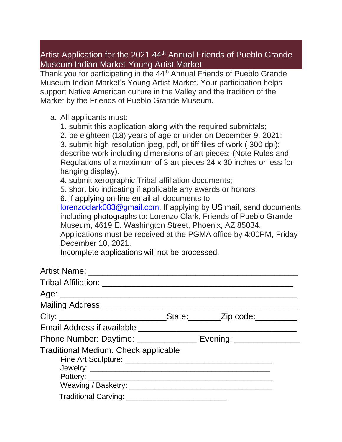## Artist Application for the 2021 44<sup>th</sup> Annual Friends of Pueblo Grande Museum Indian Market-Young Artist Market

Thank you for participating in the 44<sup>th</sup> Annual Friends of Pueblo Grande Museum Indian Market's Young Artist Market. Your participation helps support Native American culture in the Valley and the tradition of the Market by the Friends of Pueblo Grande Museum.

## a. All applicants must:

- 1. submit this application along with the required submittals;
- 2. be eighteen (18) years of age or under on December 9, 2021;

3. submit high resolution jpeg, pdf, or tiff files of work ( 300 dpi); describe work including dimensions of art pieces; (Note Rules and Regulations of a maximum of 3 art pieces 24 x 30 inches or less for hanging display).

4. submit xerographic Tribal affiliation documents;

5. short bio indicating if applicable any awards or honors;

6. if applying on-line email all documents to

[lorenzoclark083@gmail.com.](mailto:lorenzoclark083@gmail.com) If applying by US mail, send documents including photographs to: Lorenzo Clark, Friends of Pueblo Grande Museum, 4619 E. Washington Street, Phoenix, AZ 85034.

Applications must be received at the PGMA office by 4:00PM, Friday December 10, 2021.

Incomplete applications will not be processed.

| City: __________________________________State: __________Zip code: _____________ |  |
|----------------------------------------------------------------------------------|--|
|                                                                                  |  |
| Phone Number: Daytime: ________________ Evening: ______________                  |  |
| <b>Traditional Medium: Check applicable</b>                                      |  |
|                                                                                  |  |
|                                                                                  |  |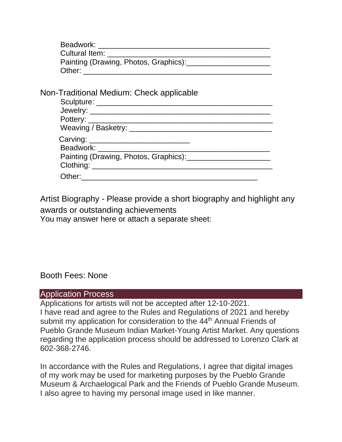| Beadwork:                             |  |
|---------------------------------------|--|
| Cultural Item:                        |  |
| Painting (Drawing, Photos, Graphics): |  |
| Other:                                |  |

Non-Traditional Medium: Check applicable

| Pottery: Notice and the second service of the service of the service of the service of the service of the service of the service of the service of the service of the service of the service of the service of the service of  |  |
|--------------------------------------------------------------------------------------------------------------------------------------------------------------------------------------------------------------------------------|--|
| Weaving / Basketry: \\contact \\contact \\contact \\contact \\contact \\contact \\contact \\contact \\contact \\contact \\contact \\contact \\contact \\contact \\contact \\contact \\contact \\contact \\contact \\contact \\ |  |
|                                                                                                                                                                                                                                |  |
|                                                                                                                                                                                                                                |  |
| Painting (Drawing, Photos, Graphics): [11]                                                                                                                                                                                     |  |
|                                                                                                                                                                                                                                |  |
|                                                                                                                                                                                                                                |  |

Artist Biography - Please provide a short biography and highlight any awards or outstanding achievements

You may answer here or attach a separate sheet:

Booth Fees: None

## Application Process

Applications for artists will not be accepted after 12-10-2021. I have read and agree to the Rules and Regulations of 2021 and hereby submit my application for consideration to the 44<sup>th</sup> Annual Friends of Pueblo Grande Museum Indian Market-Young Artist Market. Any questions regarding the application process should be addressed to Lorenzo Clark at 602-368-2746.

In accordance with the Rules and Regulations, I agree that digital images of my work may be used for marketing purposes by the Pueblo Grande Museum & Archaelogical Park and the Friends of Pueblo Grande Museum. I also agree to having my personal image used in like manner.